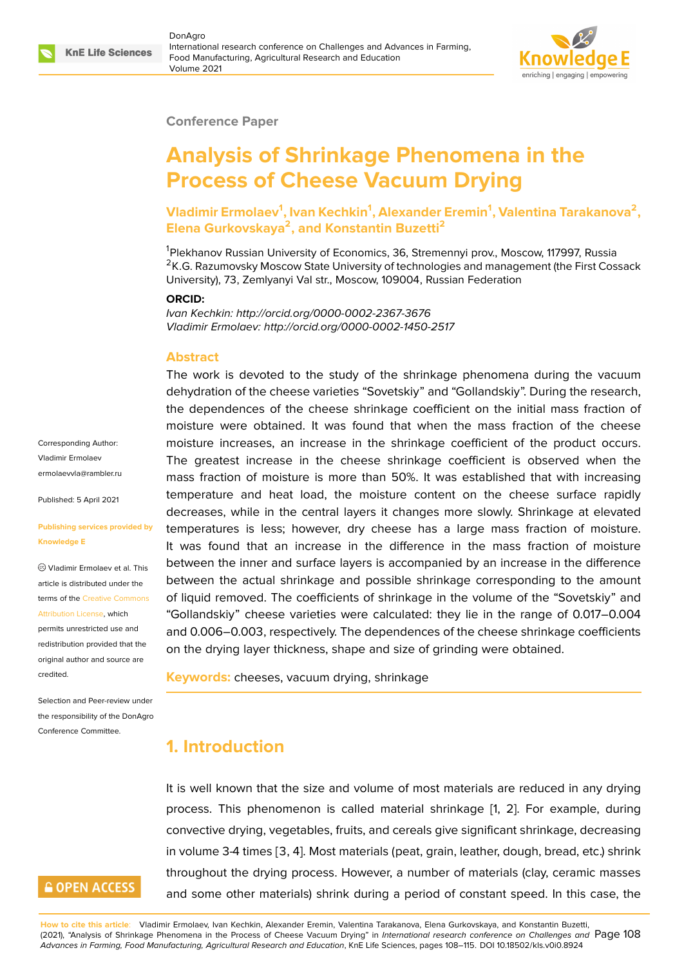

#### **Conference Paper**

# **Analysis of Shrinkage Phenomena in the Process of Cheese Vacuum Drying**

**Vladimir Ermolaev<sup>1</sup> , Ivan Kechkin<sup>1</sup> , Alexander Eremin<sup>1</sup> , Valentina Tarakanova<sup>2</sup> , Elena Gurkovskaya<sup>2</sup> , and Konstantin Buzetti<sup>2</sup>**

<sup>1</sup>Plekhanov Russian University of Economics, 36, Stremennyi prov., Moscow, 117997, Russia <sup>2</sup>K.G. Razumovsky Moscow State University of technologies and management (the First Cossack University), 73, Zemlyanyi Val str., Moscow, 109004, Russian Federation

#### **ORCID:**

*Ivan Kechkin: http://orcid.org/0000-0002-2367-3676 Vladimir Ermolaev: http://orcid.org/0000-0002-1450-2517*

#### **Abstract**

The work is devoted to the study of the shrinkage phenomena during the vacuum dehydration of the cheese varieties "Sovetskiy" and "Gollandskiy". During the research, the dependences of the cheese shrinkage coefficient on the initial mass fraction of moisture were obtained. It was found that when the mass fraction of the cheese moisture increases, an increase in the shrinkage coefficient of the product occurs. The greatest increase in the cheese shrinkage coefficient is observed when the mass fraction of moisture is more than 50%. It was established that with increasing temperature and heat load, the moisture content on the cheese surface rapidly decreases, while in the central layers it changes more slowly. Shrinkage at elevated temperatures is less; however, dry cheese has a large mass fraction of moisture. It was found that an increase in the difference in the mass fraction of moisture between the inner and surface layers is accompanied by an increase in the difference between the actual shrinkage and possible shrinkage corresponding to the amount of liquid removed. The coefficients of shrinkage in the volume of the "Sovetskiy" and "Gollandskiy" cheese varieties were calculated: they lie in the range of 0.017–0.004 and 0.006–0.003, respectively. The dependences of the cheese shrinkage coefficients on the drying layer thickness, shape and size of grinding were obtained.

**Keywords:** cheeses, vacuum drying, shrinkage

### **1. Introduction**

It is well known that the size and volume of most materials are reduced in any drying process. This phenomenon is called material shrinkage [1, 2]. For example, during convective drying, vegetables, fruits, and cereals give significant shrinkage, decreasing in volume 3-4 times [3, 4]. Most materials (peat, grain, leather, dough, bread, etc.) shrink throughout the drying process. However, a number of mat[er](#page-6-0)i[als](#page-6-1) (clay, ceramic masses and some other materials) shrink during a period of constant speed. In this case, the

Corresponding Author: Vladimir Ermolaev ermolaevvla@rambler.ru

Published: 5 April 2021

#### **[Publishing services pro](mailto:ermolaevvla@rambler.ru)vided by Knowledge E**

Vladimir Ermolaev et al. This article is distributed under the terms of the Creative Commons Attribution License, which

permits unrestricted use and redistribution provided that the original auth[or and source are](https://creativecommons.org/licenses/by/4.0/) [credited.](https://creativecommons.org/licenses/by/4.0/)

Selection and Peer-review under the responsibility of the DonAgro Conference Committee.

# **GOPEN ACCESS**

**How to cite this article**: Vladimir Ermolaev, Ivan Kechkin, Alexander Eremin, Valentina Tarakanova, Elena Gurkovskaya, and Konstantin Buzetti, (2021), "Analysis of Shrinkage Phenomena in the Process of Cheese Vacuum Drying" in *International research conference on Challenges and* Page 108 *Advances in Farming, Food Manufacturing, Agricultural Research and Education*, KnE Life Sciences, pages 108–115. DOI 10.18502/kls.v0i0.8924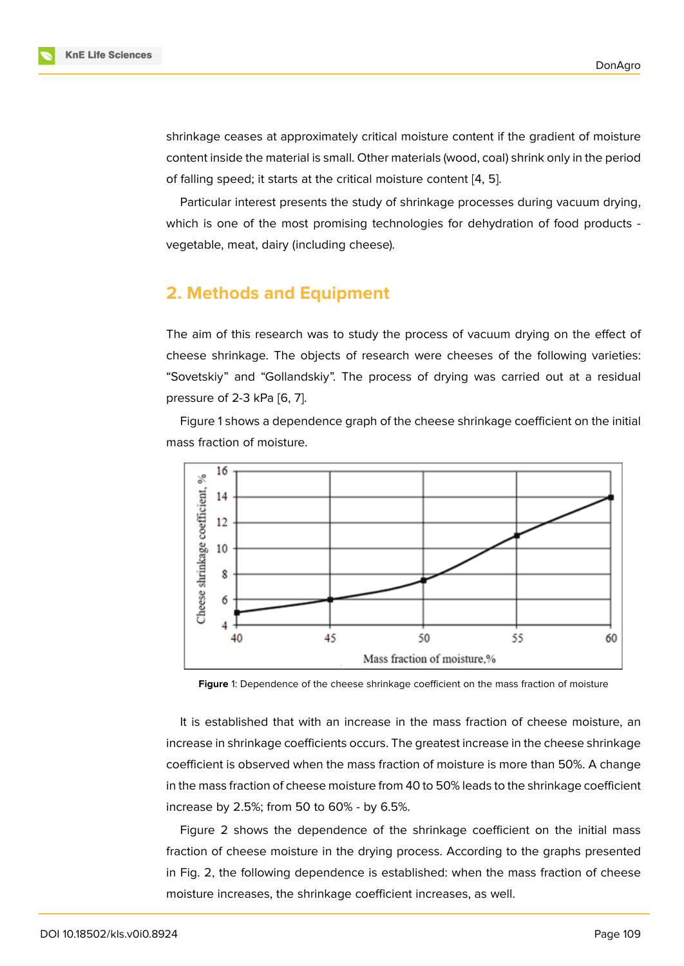shrinkage ceases at approximately critical moisture content if the gradient of moisture content inside the material is small. Other materials (wood, coal) shrink only in the period of falling speed; it starts at the critical moisture content [4, 5].

Particular interest presents the study of shrinkage processes during vacuum drying, which is one of the most promising technologies for d[e](#page-6-2)[hyd](#page-6-3)ration of food products vegetable, meat, dairy (including cheese).

# **2. Methods and Equipment**

The aim of this research was to study the process of vacuum drying on the effect of cheese shrinkage. The objects of research were cheeses of the following varieties: "Sovetskiy" and "Gollandskiy". The process of drying was carried out at a residual pressure of 2-3 kPa [6, 7].

Figure 1 shows a dependence graph of the cheese shrinkage coefficient on the initial mass fraction of moisture.



**Figure** 1: Dependence of the cheese shrinkage coefficient on the mass fraction of moisture

It is established that with an increase in the mass fraction of cheese moisture, an increase in shrinkage coefficients occurs. The greatest increase in the cheese shrinkage coefficient is observed when the mass fraction of moisture is more than 50%. A change in the mass fraction of cheese moisture from 40 to 50% leads to the shrinkage coefficient increase by 2.5%; from 50 to 60% - by 6.5%.

Figure 2 shows the dependence of the shrinkage coefficient on the initial mass fraction of cheese moisture in the drying process. According to the graphs presented in Fig. 2, the following dependence is established: when the mass fraction of cheese moisture i[nc](#page-2-0)reases, the shrinkage coefficient increases, as well.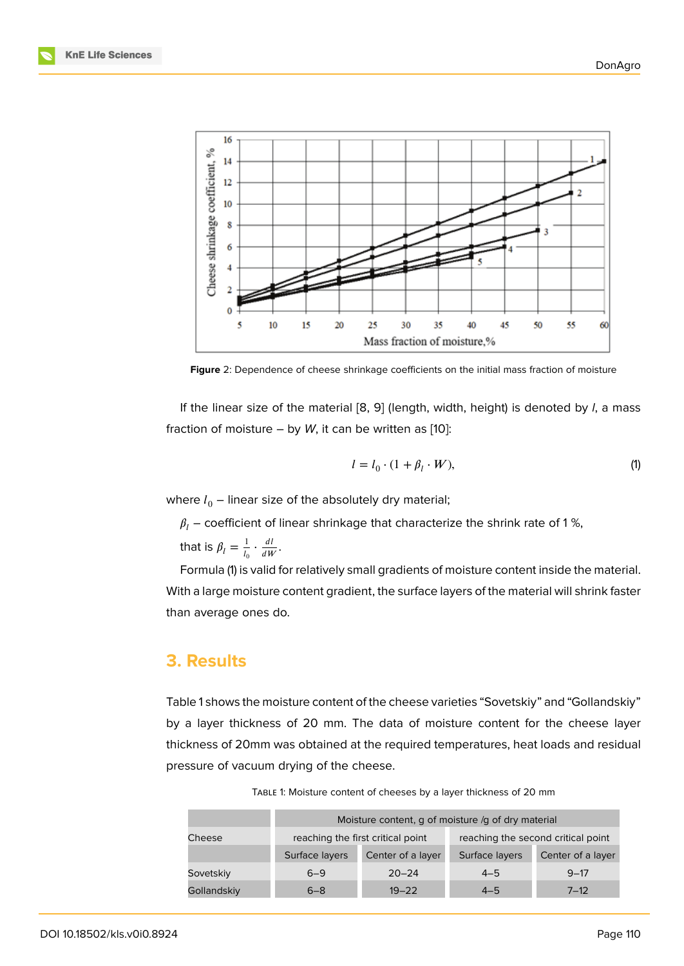

**Figure** 2: Dependence of cheese shrinkage coefficients on the initial mass fraction of moisture

<span id="page-2-0"></span>If the linear size of the material [8, 9] (length, width, height) is denoted by *l*, a mass fraction of moisture  $-$  by W, it can be written as [10]:

$$
l = l_0 \cdot (1 + \beta_l \cdot W), \tag{1}
$$

where  $l_0$  – linear size of the absolutely dry material;

 $\beta_l$  – coefficient of linear shrinkage that characterize the shrink rate of 1%,

that is  $\beta_l=\frac{1}{l_c}$  $rac{1}{l_0} \cdot \frac{dl}{dW}$  $\frac{di}{dW}$ .

Formula (1) is valid for relatively small gradients of moisture content inside the material. With a large moisture content gradient, the surface layers of the material will shrink faster than average ones do.

### **3. Results**

Table 1 shows the moisture content of the cheese varieties "Sovetskiy" and "Gollandskiy" by a layer thickness of 20 mm. The data of moisture content for the cheese layer thickness of 20mm was obtained at the required temperatures, heat loads and residual pressure of vacuum drying of the cheese.

|             | Moisture content, q of moisture /q of dry material |                   |                                    |                   |
|-------------|----------------------------------------------------|-------------------|------------------------------------|-------------------|
| Cheese      | reaching the first critical point                  |                   | reaching the second critical point |                   |
|             | Surface layers                                     | Center of a layer | Surface layers                     | Center of a layer |
| Sovetskiy   | $6 - 9$                                            | $20 - 24$         | $4 - 5$                            | $9 - 17$          |
| Gollandskiy | $6 - 8$                                            | $19 - 22$         | $4 - 5$                            | $7 - 12$          |

TABLE 1: Moisture content of cheeses by a layer thickness of 20 mm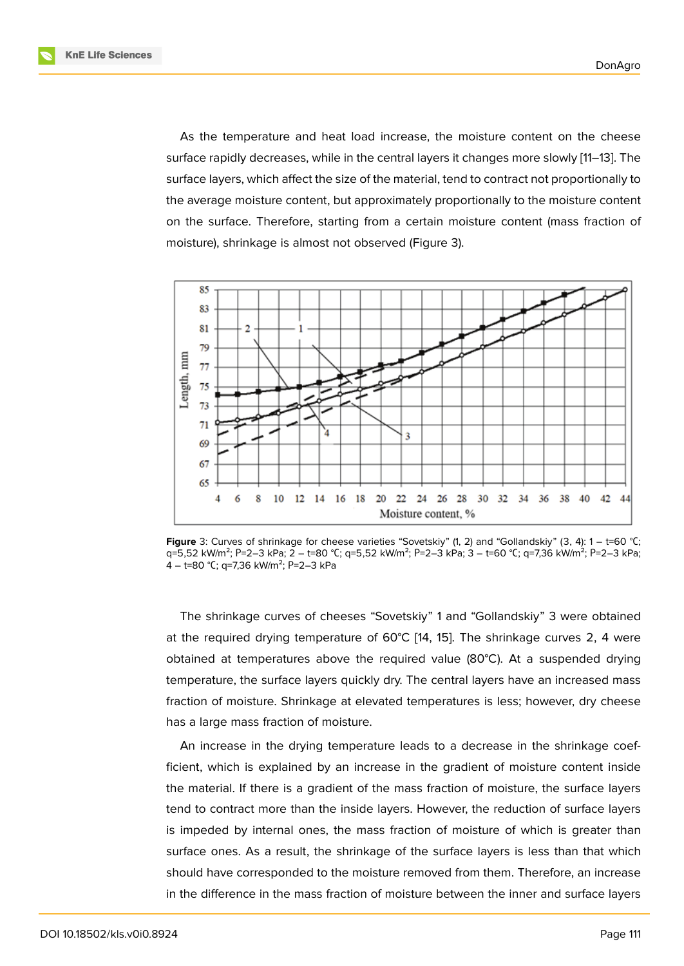As the temperature and heat load increase, the moisture content on the cheese surface rapidly decreases, while in the central layers it changes more slowly [11–13]. The surface layers, which affect the size of the material, tend to contract not proportionally to the average moisture content, but approximately proportionally to the moisture content on the surface. Therefore, starting from a certain moisture content (mass [fra](#page-7-0)[cti](#page-7-1)on of moisture), shrinkage is almost not observed (Figure 3).



**Figure** 3: Curves of shrinkage for cheese varieties "Sovetskiy" (1, 2) and "Gollandskiy" (3, 4): 1 – t=60 °С; q=5,52 kW/m<sup>2</sup>; P=2–3 kPa; 2 – t=80 °C; q=5,52 kW/m<sup>2</sup>; P=2–3 kPa; 3 – t=60 °C; q=7,36 kW/m<sup>2</sup>; P=2–3 kPa; 4 – t=80 °С; q=7,36 kW/m<sup>2</sup>; P=2–3 kPa

The shrinkage curves of cheeses "Sovetskiy" 1 and "Gollandskiy" 3 were obtained at the required drying temperature of 60°C [14, 15]. The shrinkage curves 2, 4 were obtained at temperatures above the required value (80°C). At a suspended drying temperature, the surface layers quickly dry. The central layers have an increased mass fraction of moisture. Shrinkage at elevated te[mp](#page-7-2)[era](#page-7-3)tures is less; however, dry cheese has a large mass fraction of moisture.

An increase in the drying temperature leads to a decrease in the shrinkage coefficient, which is explained by an increase in the gradient of moisture content inside the material. If there is a gradient of the mass fraction of moisture, the surface layers tend to contract more than the inside layers. However, the reduction of surface layers is impeded by internal ones, the mass fraction of moisture of which is greater than surface ones. As a result, the shrinkage of the surface layers is less than that which should have corresponded to the moisture removed from them. Therefore, an increase in the difference in the mass fraction of moisture between the inner and surface layers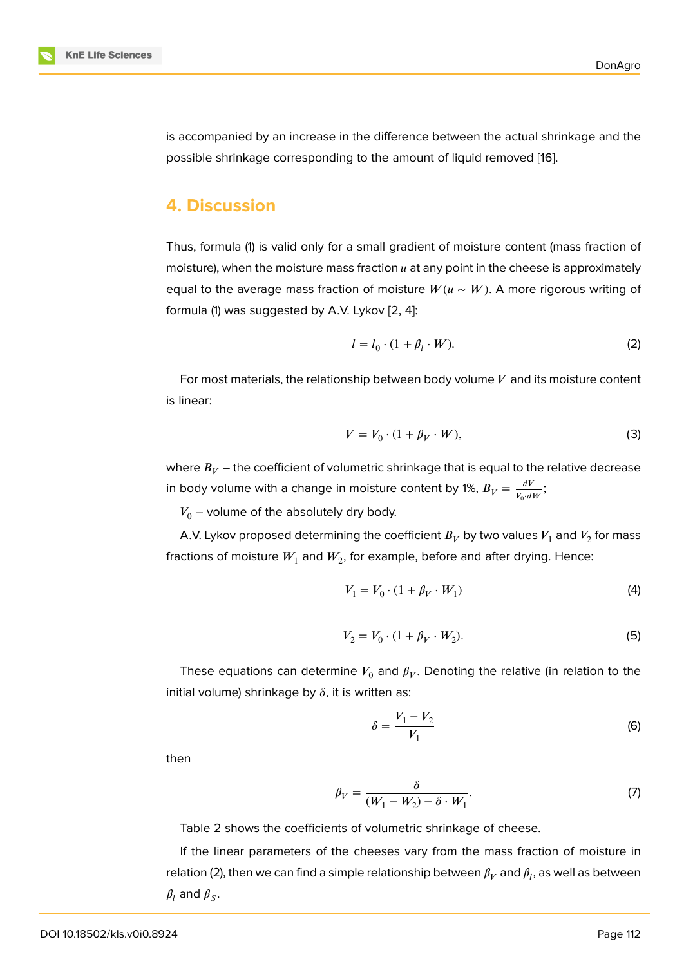is accompanied by an increase in the difference between the actual shrinkage and the possible shrinkage corresponding to the amount of liquid removed [16].

### **4. Discussion**

Thus, formula (1) is valid only for a small gradient of moisture content (mass fraction of moisture), when the moisture mass fraction  $u$  at any point in the cheese is approximately equal to the average mass fraction of moisture  $W(u \sim W)$ . A more rigorous writing of formula (1) was suggested by A.V. Lykov [2, 4]:

$$
l = l_0 \cdot (1 + \beta_l \cdot W). \tag{2}
$$

For most materials, the relationship bet[w](#page-6-1)[ee](#page-6-2)n body volume  $V$  and its moisture content is linear:

$$
V = V_0 \cdot (1 + \beta_V \cdot W),\tag{3}
$$

where  $B_V$  – the coefficient of volumetric shrinkage that is equal to the relative decrease in body volume with a change in moisture content by 1%,  $B_V = \frac{dV}{V_{\text{c}} \cdot d}$  $\frac{dV}{V_0 \cdot dW}$ ;

 $V_0$  – volume of the absolutely dry body.

A.V. Lykov proposed determining the coefficient  $B_V$  by two values  $V_1$  and  $V_2$  for mass fractions of moisture  $W_1$  and  $W_2$ , for example, before and after drying. Hence:

$$
V_1 = V_0 \cdot (1 + \beta_V \cdot W_1) \tag{4}
$$

$$
V_2 = V_0 \cdot (1 + \beta_V \cdot W_2). \tag{5}
$$

These equations can determine  $V_0$  and  $\beta_V.$  Denoting the relative (in relation to the initial volume) shrinkage by  $\delta$ , it is written as:

$$
\delta = \frac{V_1 - V_2}{V_1} \tag{6}
$$

then

$$
\beta_V = \frac{\delta}{(W_1 - W_2) - \delta \cdot W_1}.\tag{7}
$$

Table 2 shows the coefficients of volumetric shrinkage of cheese.

If the linear parameters of the cheeses vary from the mass fraction of moisture in relation (2), then we can find a simple relationship between  $\beta_V$  and  $\beta_l$ , as well as between  $\beta_l$  and  $\beta_S$ .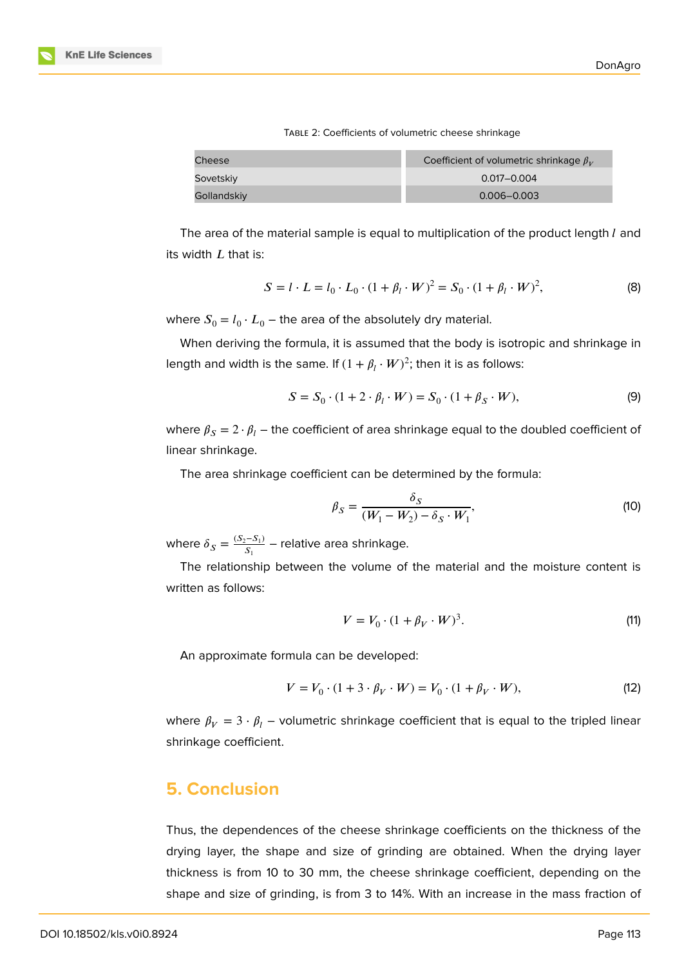| × |
|---|
|   |

| TABLE 2: Coefficients of volumetric cheese shrinkage |  |
|------------------------------------------------------|--|
|------------------------------------------------------|--|

| Cheese      | Coefficient of volumetric shrinkage $\beta_V$ |
|-------------|-----------------------------------------------|
| Sovetskiy   | $0.017 - 0.004$                               |
| Gollandskiy | $0.006 - 0.003$                               |

The area of the material sample is equal to multiplication of the product length  $l$  and its width  $L$  that is:

$$
S = l \cdot L = l_0 \cdot L_0 \cdot (1 + \beta_l \cdot W)^2 = S_0 \cdot (1 + \beta_l \cdot W)^2,
$$
 (8)

where  $S_0 = l_0 \cdot L_0$  — the area of the absolutely dry material.

When deriving the formula, it is assumed that the body is isotropic and shrinkage in length and width is the same. If  $(1+\beta_l\cdot W)^2;$  then it is as follows:

$$
S = S_0 \cdot (1 + 2 \cdot \beta_l \cdot W) = S_0 \cdot (1 + \beta_S \cdot W), \tag{9}
$$

where  $\beta_S = 2 \cdot \beta_l$  – the coefficient of area shrinkage equal to the doubled coefficient of linear shrinkage.

The area shrinkage coefficient can be determined by the formula:

$$
\beta_S = \frac{\delta_S}{(W_1 - W_2) - \delta_S \cdot W_1},\tag{10}
$$

where  $\delta_S = \frac{(S_2 - S_1)}{S_1}$  $\frac{1}{S_1}$  – relative area shrinkage.

The relationship between the volume of the material and the moisture content is written as follows:

$$
V = V_0 \cdot (1 + \beta_V \cdot W)^3. \tag{11}
$$

An approximate formula can be developed:

$$
V = V_0 \cdot (1 + 3 \cdot \beta_V \cdot W) = V_0 \cdot (1 + \beta_V \cdot W),
$$
 (12)

where  $\beta_V = 3 \cdot \beta_l$  – volumetric shrinkage coefficient that is equal to the tripled linear shrinkage coefficient.

## **5. Conclusion**

Thus, the dependences of the cheese shrinkage coefficients on the thickness of the drying layer, the shape and size of grinding are obtained. When the drying layer thickness is from 10 to 30 mm, the cheese shrinkage coefficient, depending on the shape and size of grinding, is from 3 to 14%. With an increase in the mass fraction of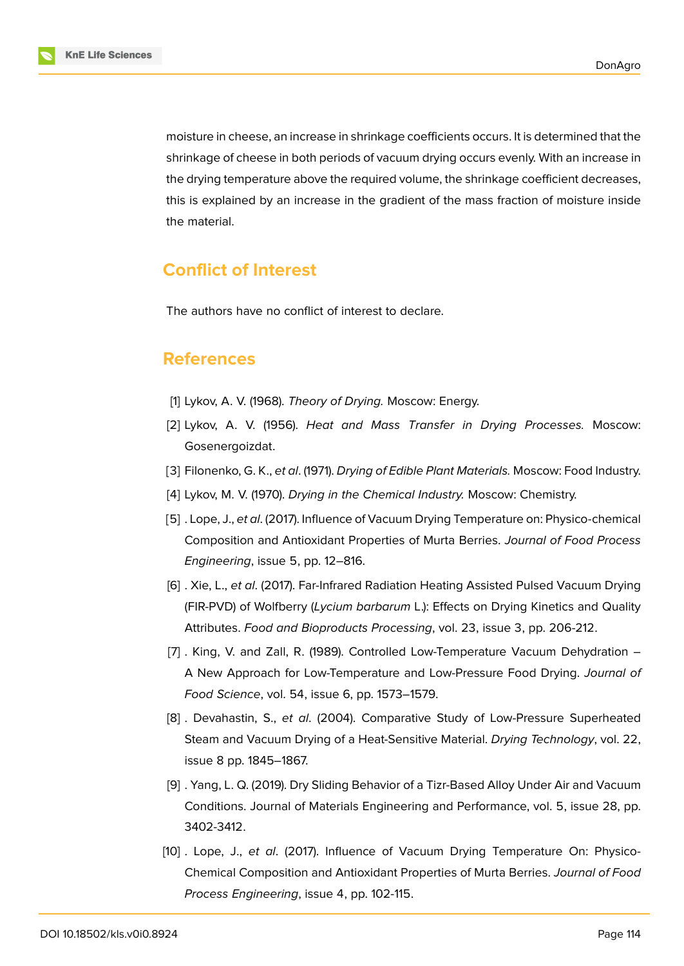moisture in cheese, an increase in shrinkage coefficients occurs. It is determined that the shrinkage of cheese in both periods of vacuum drying occurs evenly. With an increase in the drying temperature above the required volume, the shrinkage coefficient decreases, this is explained by an increase in the gradient of the mass fraction of moisture inside the material.

# **Conflict of Interest**

The authors have no conflict of interest to declare.

### **References**

- <span id="page-6-0"></span>[1] Lykov, A. V. (1968). *Theory of Drying.* Moscow: Energy.
- <span id="page-6-1"></span>[2] Lykov, A. V. (1956). *Heat and Mass Transfer in Drying Processes.* Moscow: Gosenergoizdat.
- [3] Filonenko, G. K., *et al*. (1971). *Drying of Edible Plant Materials.* Moscow: Food Industry.
- <span id="page-6-2"></span>[4] Lykov, M. V. (1970). *Drying in the Chemical Industry.* Moscow: Chemistry.
- <span id="page-6-3"></span>[5] . Lope, J., *et al*. (2017). Influence of Vacuum Drying Temperature on: Physico-chemical Composition and Antioxidant Properties of Murta Berries. *Journal of Food Process Engineering*, issue 5, pp. 12–816.
- [6] . Xie, L., *et al*. (2017). Far-Infrared Radiation Heating Assisted Pulsed Vacuum Drying (FIR-PVD) of Wolfberry (*Lycium barbarum* L.): Effects on Drying Kinetics and Quality Attributes. *Food and Bioproducts Processing*, vol. 23, issue 3, pp. 206-212.
- [7] . King, V. and Zall, R. (1989). Controlled Low-Temperature Vacuum Dehydration A New Approach for Low-Temperature and Low-Pressure Food Drying. *Journal of Food Science*, vol. 54, issue 6, pp. 1573–1579.
- <span id="page-6-4"></span>[8] . Devahastin, S., *et al*. (2004). Comparative Study of Low-Pressure Superheated Steam and Vacuum Drying of a Heat-Sensitive Material. *Drying Technology*, vol. 22, issue 8 pp. 1845–1867.
- <span id="page-6-5"></span>[9] . Yang, L. Q. (2019). Dry Sliding Behavior of a Tizr-Based Alloy Under Air and Vacuum Conditions. Journal of Materials Engineering and Performance, vol. 5, issue 28, pp. 3402-3412.
- [10] . Lope, J., *et al*. (2017). Influence of Vacuum Drying Temperature On: Physico-Chemical Composition and Antioxidant Properties of Murta Berries. *Journal of Food Process Engineering*, issue 4, pp. 102-115.